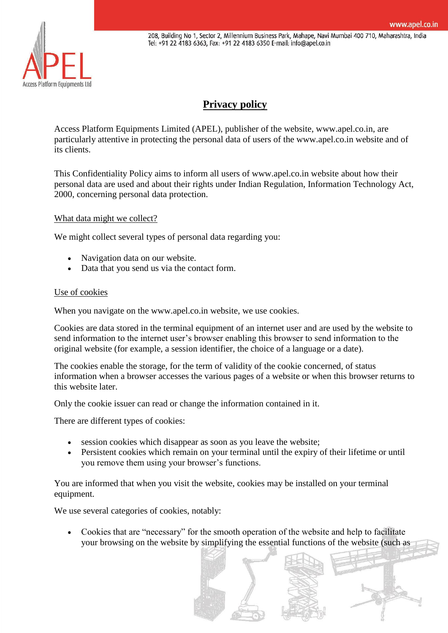Access Platform Equipments Ltd

208, Building No 1, Sector 2, Millennium Business Park, Mahape, Navi Mumbai 400 710, Maharashtra, India Tel: +91 22 4183 6363, Fax: +91 22 4183 6350 E-mail: info@apel.co.in

# **[Privacy policy](https://scanclimber.com/privacy)**

Access Platform Equipments Limited (APEL), publisher of the website, www.apel.co.in, are particularly attentive in protecting the personal data of users of the www.apel.co.in website and of its clients.

This Confidentiality Policy aims to inform all users of www.apel.co.in website about how their personal data are used and about their rights under Indian Regulation, Information Technology Act, 2000, concerning personal data protection.

What data might we collect?

We might collect several types of personal data regarding you:

- Navigation data on our website.
- Data that you send us via the contact form.

## Use of cookies

When you navigate on the www.apel.co.in website, we use cookies.

Cookies are data stored in the terminal equipment of an internet user and are used by the website to send information to the internet user's browser enabling this browser to send information to the original website (for example, a session identifier, the choice of a language or a date).

The cookies enable the storage, for the term of validity of the cookie concerned, of status information when a browser accesses the various pages of a website or when this browser returns to this website later.

Only the cookie issuer can read or change the information contained in it.

There are different types of cookies:

- session cookies which disappear as soon as you leave the website;
- Persistent cookies which remain on your terminal until the expiry of their lifetime or until you remove them using your browser's functions.

You are informed that when you visit the website, cookies may be installed on your terminal equipment.

We use several categories of cookies, notably:

 Cookies that are "necessary" for the smooth operation of the website and help to facilitate your browsing on the website by simplifying the essential functions of the website (such as

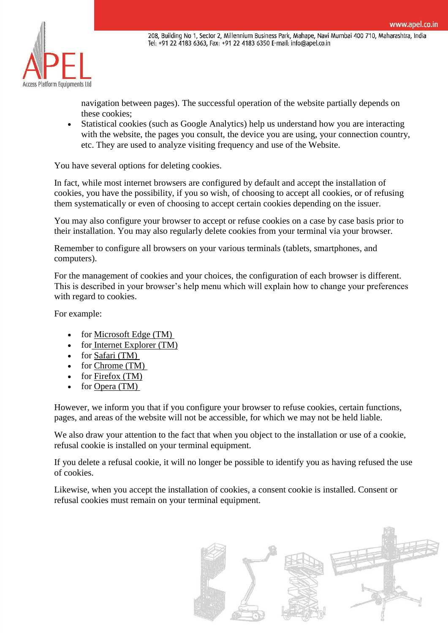

navigation between pages). The successful operation of the website partially depends on these cookies;

 Statistical cookies (such as Google Analytics) help us understand how you are interacting with the website, the pages you consult, the device you are using, your connection country, etc. They are used to analyze visiting frequency and use of the Website.

You have several options for deleting cookies.

In fact, while most internet browsers are configured by default and accept the installation of cookies, you have the possibility, if you so wish, of choosing to accept all cookies, or of refusing them systematically or even of choosing to accept certain cookies depending on the issuer.

You may also configure your browser to accept or refuse cookies on a case by case basis prior to their installation. You may also regularly delete cookies from your terminal via your browser.

Remember to configure all browsers on your various terminals (tablets, smartphones, and computers).

For the management of cookies and your choices, the configuration of each browser is different. This is described in your browser's help menu which will explain how to change your preferences with regard to cookies.

For example:

- $\bullet$  for Microsoft Edge (TM)
- $\bullet$  for [Internet Explorer \(TM\)](https://support.microsoft.com/en-us/help/17442/windows-internet-explorer-delete-manage-cookies)
- $\bullet$  for [Safari \(TM\)](https://support.apple.com/guide/safari/manage-cookies-and-website-data-sfri11471/mac)
- for [Chrome \(TM\)](https://support.google.com/chrome/answer/95647?co=GENIE.Platform%3DDesktop&hl=en-GB)
- $\bullet$  for Firefox (TM)
- for [Opera \(TM\)](https://help.opera.com/en/latest/security-and-privacy/)

However, we inform you that if you configure your browser to refuse cookies, certain functions, pages, and areas of the website will not be accessible, for which we may not be held liable.

We also draw your attention to the fact that when you object to the installation or use of a cookie, refusal cookie is installed on your terminal equipment.

If you delete a refusal cookie, it will no longer be possible to identify you as having refused the use of cookies.

Likewise, when you accept the installation of cookies, a consent cookie is installed. Consent or refusal cookies must remain on your terminal equipment.